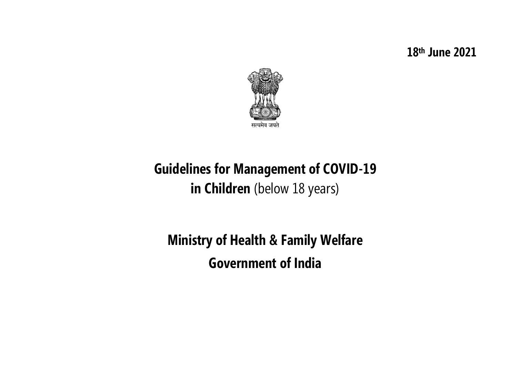**18th June 2021**



# **Guidelines for Management of COVID-19 in Children** (below 18 years)

**Ministry of Health & Family Welfare Government of India**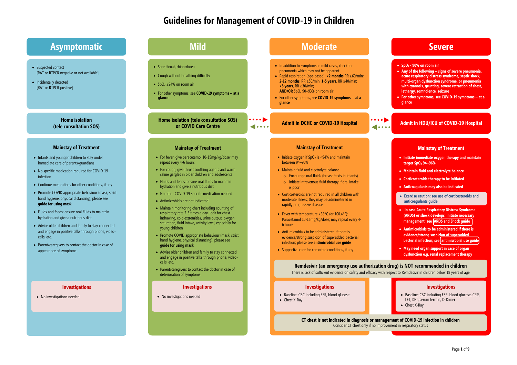# **Guidelines for Management of COVID-19 in Children**

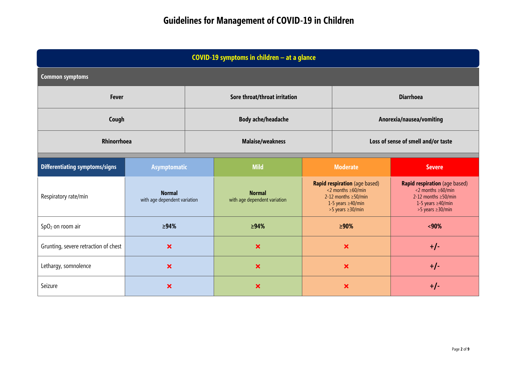| COVID-19 symptoms in children - at a glance |                                               |                           |                                               |                                                                                                                                                  |                                     |                                                                                                                                                  |  |  |  |  |
|---------------------------------------------|-----------------------------------------------|---------------------------|-----------------------------------------------|--------------------------------------------------------------------------------------------------------------------------------------------------|-------------------------------------|--------------------------------------------------------------------------------------------------------------------------------------------------|--|--|--|--|
| <b>Common symptoms</b>                      |                                               |                           |                                               |                                                                                                                                                  |                                     |                                                                                                                                                  |  |  |  |  |
| <b>Fever</b>                                |                                               |                           | Sore throat/throat irritation                 |                                                                                                                                                  | <b>Diarrhoea</b>                    |                                                                                                                                                  |  |  |  |  |
| Cough                                       |                                               | <b>Body ache/headache</b> |                                               |                                                                                                                                                  | Anorexia/nausea/vomiting            |                                                                                                                                                  |  |  |  |  |
| <b>Rhinorrhoea</b>                          |                                               | <b>Malaise/weakness</b>   |                                               |                                                                                                                                                  | Loss of sense of smell and/or taste |                                                                                                                                                  |  |  |  |  |
| <b>Differentiating symptoms/signs</b>       | <b>Asymptomatic</b>                           |                           | <b>Mild</b>                                   | <b>Moderate</b>                                                                                                                                  |                                     | <b>Severe</b>                                                                                                                                    |  |  |  |  |
| Respiratory rate/min                        | <b>Normal</b><br>with age dependent variation |                           | <b>Normal</b><br>with age dependent variation | Rapid respiration (age based)<br>$\leq$ months $\geq$ 60/min<br>2-12 months $\geq$ 50/min<br>1-5 years $\geq$ 40/min<br>$>5$ years $\geq$ 30/min |                                     | Rapid respiration (age based)<br>$\leq$ months $\geq$ 60/min<br>2-12 months $\geq$ 50/min<br>1-5 years $\geq$ 40/min<br>$>5$ years $\geq$ 30/min |  |  |  |  |
| SpO <sub>2</sub> on room air                | $\geq 94\%$                                   |                           | $\geq 94\%$                                   | $\geq 90\%$                                                                                                                                      |                                     | ~140%                                                                                                                                            |  |  |  |  |
| Grunting, severe retraction of chest        | $\boldsymbol{\mathsf{x}}$                     |                           | $\boldsymbol{\mathsf{x}}$                     |                                                                                                                                                  | $\boldsymbol{\mathsf{x}}$           | $+/-$                                                                                                                                            |  |  |  |  |
| Lethargy, somnolence                        | $\boldsymbol{\mathsf{x}}$                     |                           | $\boldsymbol{\mathsf{x}}$                     |                                                                                                                                                  | $\boldsymbol{\mathsf{x}}$           | $+/-$                                                                                                                                            |  |  |  |  |
| Seizure                                     | $\bm{x}$                                      |                           | $\boldsymbol{\mathsf{x}}$                     | $\boldsymbol{\mathsf{x}}$                                                                                                                        |                                     | $+/-$                                                                                                                                            |  |  |  |  |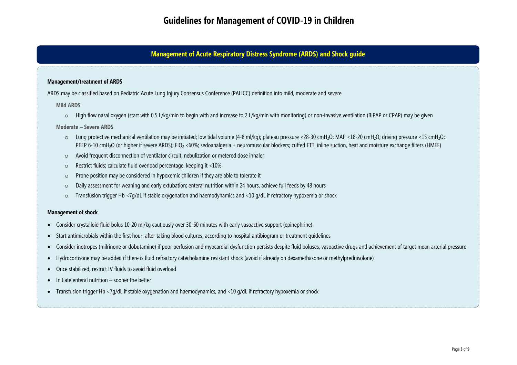## **Management of Acute Respiratory Distress Syndrome (ARDS) and Shock guide**

## **Management/treatment of ARDS**

ARDS may be classified based on Pediatric Acute Lung Injury Consensus Conference (PALICC) definition into mild, moderate and severe

### **Mild ARDS**

o High flow nasal oxygen (start with 0.5 L/kg/min to begin with and increase to 2 L/kg/min with monitoring) or non-invasive ventilation (BiPAP or CPAP) may be given

## **Moderate – Severe ARDS**

- o Lung protective mechanical ventilation may be initiated; low tidal volume (4-8 ml/kg); plateau pressure <28-30 cmH<sub>2</sub>O; MAP <18-20 cmH<sub>2</sub>O; driving pressure <15 cmH<sub>2</sub>O; PEEP 6-10 cmH<sub>2</sub>O (or higher if severe ARDS); FiO<sub>2</sub> <60%; sedoanalgesia ± neuromuscular blockers; cuffed ETT, inline suction, heat and moisture exchange filters (HMEF)
- o Avoid frequent disconnection of ventilator circuit, nebulization or metered dose inhaler
- o Restrict fluids; calculate fluid overload percentage, keeping it <10%
- o Prone position may be considered in hypoxemic children if they are able to tolerate it
- o Daily assessment for weaning and early extubation; enteral nutrition within 24 hours, achieve full feeds by 48 hours
- o Transfusion trigger Hb <7g/dL if stable oxygenation and haemodynamics and <10 g/dL if refractory hypoxemia or shock

### **Management of shock**

- Consider crystalloid fluid bolus 10-20 ml/kg cautiously over 30-60 minutes with early vasoactive support (epinephrine)
- Start antimicrobials within the first hour, after taking blood cultures, according to hospital antibiogram or treatment guidelines
- Consider inotropes (milrinone or dobutamine) if poor perfusion and myocardial dysfunction persists despite fluid boluses, vasoactive drugs and achievement of target mean arterial pressure
- Hydrocortisone may be added if there is fluid refractory catecholamine resistant shock (avoid if already on dexamethasone or methylprednisolone)
- Once stabilized, restrict IV fluids to avoid fluid overload
- Initiate enteral nutrition sooner the better
- Transfusion trigger Hb <7g/dL if stable oxygenation and haemodynamics, and <10 g/dL if refractory hypoxemia or shock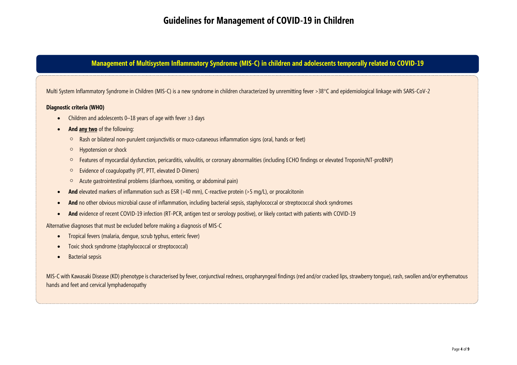## **Management of Multisystem Inflammatory Syndrome (MIS-C) in children and adolescents temporally related to COVID-19**

Multi System Inflammatory Syndrome in Children (MIS-C) is a new syndrome in children characterized by unremitting fever >38°C and epidemiological linkage with SARS-CoV-2

## **Diagnostic criteria (WHO)**

- Children and adolescents 0–18 years of age with fever ≥3 days
- **And any two** of the following:
	- Rash or bilateral non-purulent conjunctivitis or muco-cutaneous inflammation signs (oral, hands or feet)
	- Hypotension or shock
	- Features of myocardial dysfunction, pericarditis, valvulitis, or coronary abnormalities (including ECHO findings or elevated Troponin/NT-proBNP)
	- Evidence of coagulopathy (PT, PTT, elevated D-Dimers)
	- $\circ$  Acute gastrointestinal problems (diarrhoea, vomiting, or abdominal pain)
- **And** elevated markers of inflammation such as ESR (>40 mm), C-reactive protein (>5 mg/L), or procalcitonin
- **And** no other obvious microbial cause of inflammation, including bacterial sepsis, staphylococcal or streptococcal shock syndromes
- And evidence of recent COVID-19 infection (RT-PCR, antigen test or serology positive), or likely contact with patients with COVID-19

Alternative diagnoses that must be excluded before making a diagnosis of MIS-C

- Tropical fevers (malaria, dengue, scrub typhus, enteric fever)
- Toxic shock syndrome (staphylococcal or streptococcal)
- Bacterial sepsis

MIS-C with Kawasaki Disease (KD) phenotype is characterised by fever, conjunctival redness, oropharyngeal findings (red and/or cracked lips, strawberry tongue), rash, swollen and/or erythematous hands and feet and cervical lymphadenopathy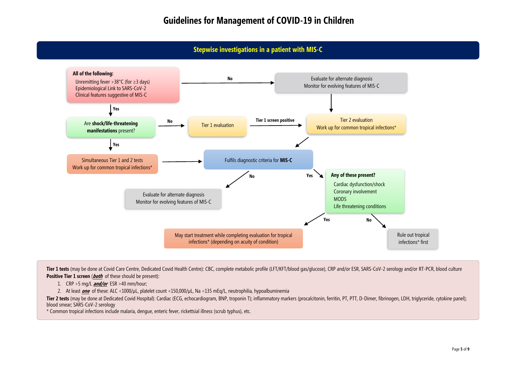## **Stepwise investigations in a patient with MIS-C**



**Tier 1 tests** (may be done at Covid Care Centre, Dedicated Covid Health Centre): CBC, complete metabolic profile (LFT/KFT/blood gas/glucose), CRP and/or ESR, SARS-CoV-2 serology and/or RT-PCR, blood culture **Positive Tier 1 screen** (*both* of these should be present):

1. CRP >5 mg/L **and/or** ESR >40 mm/hour;

2. At least **one** of these: ALC <1000/µL, platelet count <150,000/µL, Na <135 mEq/L, neutrophilia, hypoalbuminemia

Tier 2 tests (may be done at Dedicated Covid Hospital): Cardiac (ECG, echocardiogram, BNP, troponin T); inflammatory markers (procalcitonin, ferritin, PT, PTT, D-Dimer, fibrinogen, LDH, triglyceride, cytokine panel); blood smear; SARS-CoV-2 serology

\* Common tropical infections include malaria, dengue, enteric fever, rickettsial illness (scrub typhus), etc.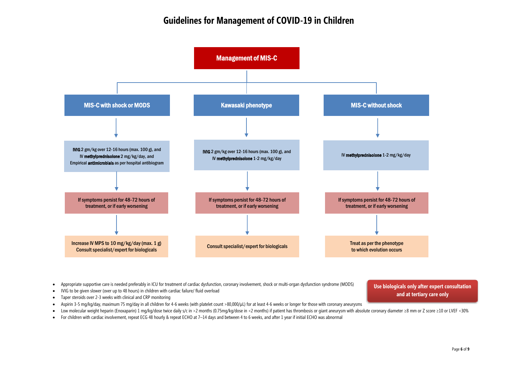# **Guidelines for Management of COVID-19 in Children**



- Appropriate supportive care is needed preferably in ICU for treatment of cardiac dysfunction, coronary involvement, shock or multi-organ dysfunction syndrome (MODS)
- IVIG to be given slower (over up to 48 hours) in children with cardiac failure/ fluid overload
- Taper steroids over 2-3 weeks with clinical and CRP monitoring
- Aspirin 3-5 mg/kg/day, maximum 75 mg/day in all children for 4-6 weeks (with platelet count >80,000/µL) for at least 4-6 weeks or longer for those with coronary aneurysms
- Low molecular weight heparin (Enoxaparin) 1 mg/kg/dose twice daily s/c in >2 months (0.75mg/kg/dose in <2 months) if patient has thrombosis or giant aneurysm with absolute coronary diameter ≥8 mm or Z score ≥10 or LVEF
- For children with cardiac involvement, repeat ECG 48 hourly & repeat ECHO at 7–14 days and between 4 to 6 weeks, and after 1 year if initial ECHO was abnormal

**Use biologicals only after expert consultation and at tertiary care only**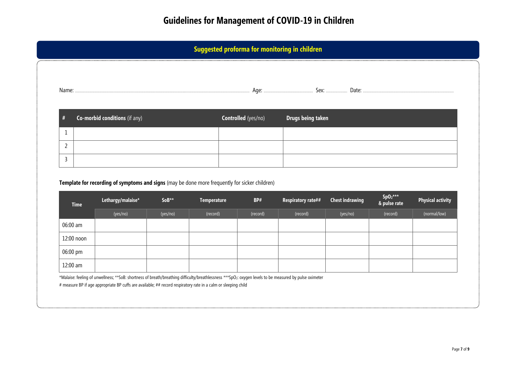| #              | Co-morbid conditions (if any)                                                                                       |          |                    | Controlled (yes/no) | Drugs being taken  |                        |                            |                          |
|----------------|---------------------------------------------------------------------------------------------------------------------|----------|--------------------|---------------------|--------------------|------------------------|----------------------------|--------------------------|
| 1              |                                                                                                                     |          |                    |                     |                    |                        |                            |                          |
| $\overline{2}$ |                                                                                                                     |          |                    |                     |                    |                        |                            |                          |
|                |                                                                                                                     |          |                    |                     |                    |                        |                            |                          |
| 3              |                                                                                                                     |          |                    |                     |                    |                        |                            |                          |
| <b>Time</b>    | Template for recording of symptoms and signs (may be done more frequently for sicker children)<br>Lethargy/malaise* | SoB**    | <b>Temperature</b> | BP#                 | Respiratory rate## | <b>Chest indrawing</b> | $SpO_2***$<br>& pulse rate | <b>Physical activity</b> |
|                | (yes/no)                                                                                                            | (yes/no) | (record)           | (record)            | (record)           | (yes/no)               | (record)                   | (normal/low)             |
| 06:00 am       |                                                                                                                     |          |                    |                     |                    |                        |                            |                          |
| 12:00 noon     |                                                                                                                     |          |                    |                     |                    |                        |                            |                          |
| 06:00 pm       |                                                                                                                     |          |                    |                     |                    |                        |                            |                          |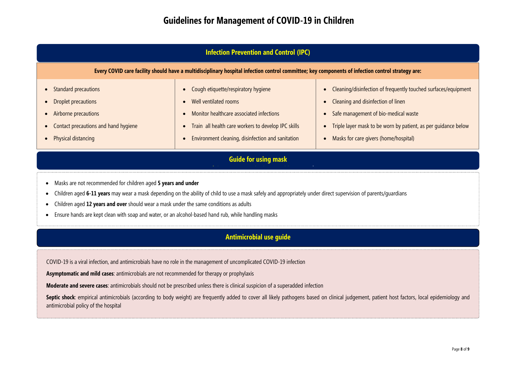| <b>Infection Prevention and Control (IPC)</b>                                                                                                     |                                                                                                                                                                                                                              |                                                                                                                                                                                                                                                         |  |  |  |  |
|---------------------------------------------------------------------------------------------------------------------------------------------------|------------------------------------------------------------------------------------------------------------------------------------------------------------------------------------------------------------------------------|---------------------------------------------------------------------------------------------------------------------------------------------------------------------------------------------------------------------------------------------------------|--|--|--|--|
| Every COVID care facility should have a multidisciplinary hospital infection control committee; key components of infection control strategy are: |                                                                                                                                                                                                                              |                                                                                                                                                                                                                                                         |  |  |  |  |
| Standard precautions<br>Droplet precautions<br>Airborne precautions<br>Contact precautions and hand hygiene<br>Physical distancing                | • Cough etiquette/respiratory hygiene<br>• Well ventilated rooms<br>• Monitor healthcare associated infections<br>• Train all health care workers to develop IPC skills<br>Environment cleaning, disinfection and sanitation | Cleaning/disinfection of frequently touched surfaces/equipment<br>Cleaning and disinfection of linen<br>Safe management of bio-medical waste<br>Triple layer mask to be worn by patient, as per quidance below<br>Masks for care givers (home/hospital) |  |  |  |  |

# **Guide for using mask EUA and OFF-LABEL\* USE OF DRUGS – at a glance**

- Masks are not recommended for children aged **5 years and under**
- Children aged **6-11 years** may wear a mask depending on the ability of child to use a mask safely and appropriately under direct supervision of parents/guardians
- Children aged **12 years and over** should wear a mask under the same conditions as adults
- Ensure hands are kept clean with soap and water, or an alcohol-based hand rub, while handling masks

# **Antimicrobial use guide**

COVID-19 is a viral infection, and antimicrobials have no role in the management of uncomplicated COVID-19 infection

**Asymptomatic and mild cases**: antimicrobials are not recommended for therapy or prophylaxis

**Moderate and severe cases**: antimicrobials should not be prescribed unless there is clinical suspicion of a superadded infection

Septic shock: empirical antimicrobials (according to body weight) are frequently added to cover all likely pathogens based on clinical judgement, patient host factors, local epidemiology and antimicrobial policy of the hospital